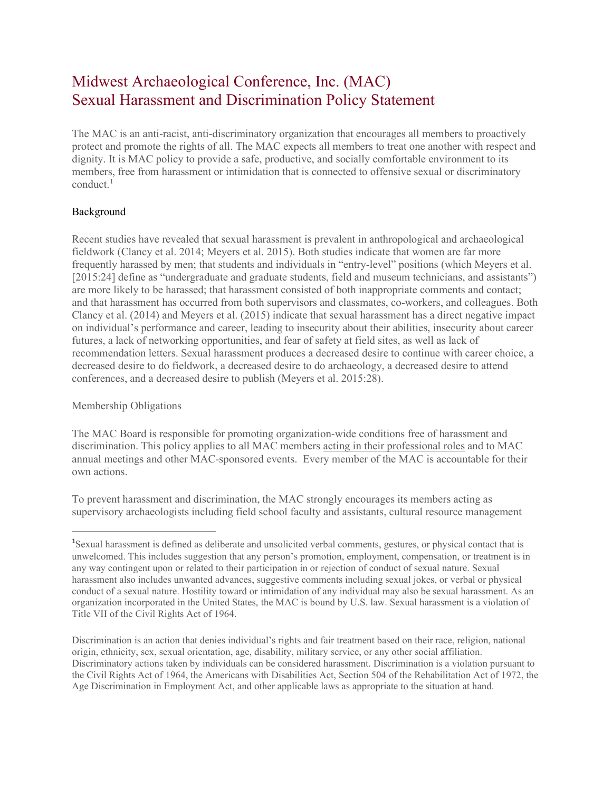## Midwest Archaeological Conference, Inc. (MAC) Sexual Harassment and Discrimination Policy Statement

The MAC is an anti-racist, anti-discriminatory organization that encourages all members to proactively protect and promote the rights of all. The MAC expects all members to treat one another with respect and dignity. It is MAC policy to provide a safe, productive, and socially comfortable environment to its members, free from harassment or intimidation that is connected to offensive sexual or discriminatory  $conduct.$ <sup>[1](#page-0-0)</sup>

## Background

Recent studies have revealed that sexual harassment is prevalent in anthropological and archaeological fieldwork (Clancy et al. 2014; Meyers et al. 2015). Both studies indicate that women are far more frequently harassed by men; that students and individuals in "entry-level" positions (which Meyers et al. [2015:24] define as "undergraduate and graduate students, field and museum technicians, and assistants") are more likely to be harassed; that harassment consisted of both inappropriate comments and contact; and that harassment has occurred from both supervisors and classmates, co-workers, and colleagues. Both Clancy et al. (2014) and Meyers et al. (2015) indicate that sexual harassment has a direct negative impact on individual's performance and career, leading to insecurity about their abilities, insecurity about career futures, a lack of networking opportunities, and fear of safety at field sites, as well as lack of recommendation letters. Sexual harassment produces a decreased desire to continue with career choice, a decreased desire to do fieldwork, a decreased desire to do archaeology, a decreased desire to attend conferences, and a decreased desire to publish (Meyers et al. 2015:28).

## Membership Obligations

The MAC Board is responsible for promoting organization-wide conditions free of harassment and discrimination. This policy applies to all MAC members acting in their professional roles and to MAC annual meetings and other MAC-sponsored events. Every member of the MAC is accountable for their own actions.

To prevent harassment and discrimination, the MAC strongly encourages its members acting as supervisory archaeologists including field school faculty and assistants, cultural resource management

<span id="page-0-0"></span><sup>&</sup>lt;sup>1</sup>Sexual harassment is defined as deliberate and unsolicited verbal comments, gestures, or physical contact that is unwelcomed. This includes suggestion that any person's promotion, employment, compensation, or treatment is in any way contingent upon or related to their participation in or rejection of conduct of sexual nature. Sexual harassment also includes unwanted advances, suggestive comments including sexual jokes, or verbal or physical conduct of a sexual nature. Hostility toward or intimidation of any individual may also be sexual harassment. As an organization incorporated in the United States, the MAC is bound by U.S. law. Sexual harassment is a violation of Title VII of the Civil Rights Act of 1964.

Discrimination is an action that denies individual's rights and fair treatment based on their race, religion, national origin, ethnicity, sex, sexual orientation, age, disability, military service, or any other social affiliation. Discriminatory actions taken by individuals can be considered harassment. Discrimination is a violation pursuant to the Civil Rights Act of 1964, the Americans with Disabilities Act, Section 504 of the Rehabilitation Act of 1972, the Age Discrimination in Employment Act, and other applicable laws as appropriate to the situation at hand.